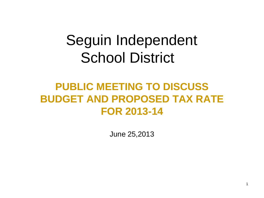# Seguin Independent School District

## **PUBLIC MEETING TO DISCUSS BUDGET AND PROPOSED TAX RATE FOR 2013-14**

June 25,2013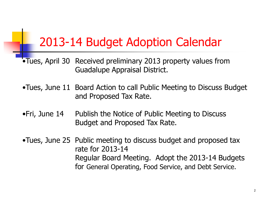# 2013-14 Budget Adoption Calendar

- •Tues, April 30 Received preliminary 2013 property values from Guadalupe Appraisal District.
- •Tues, June 11 Board Action to call Public Meeting to Discuss Budget and Proposed Tax Rate.
- •Fri, June 14 Publish the Notice of Public Meeting to Discuss Budget and Proposed Tax Rate.

•Tues, June 25 Public meeting to discuss budget and proposed tax rate for 2013-14 Regular Board Meeting. Adopt the 2013-14 Budgets for General Operating, Food Service, and Debt Service.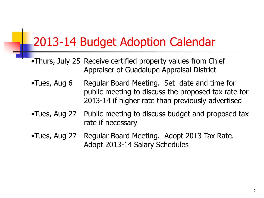# 2013-14 Budget Adoption Calendar

- •Thurs, July 25 Receive certified property values from Chief Appraiser of Guadalupe Appraisal District
- •Tues, Aug 6 Regular Board Meeting. Set date and time for public meeting to discuss the proposed tax rate for 2013-14 if higher rate than previously advertised
- •Tues, Aug 27 Public meeting to discuss budget and proposed tax rate if necessary
- •Tues, Aug 27 Regular Board Meeting. Adopt 2013 Tax Rate. Adopt 2013-14 Salary Schedules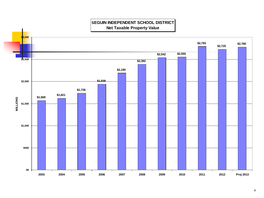

#### **SEGUIN INDEPENDENT SCHOOL DISTRICT Net Taxable Property Value**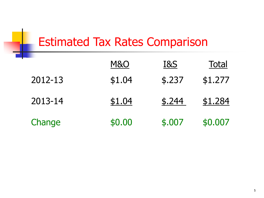# Estimated Tax Rates Comparison

|         | M&O    | <b>I&amp;S</b> | <b>Total</b> |
|---------|--------|----------------|--------------|
| 2012-13 | \$1.04 | \$.237         | \$1.277      |
| 2013-14 | \$1.04 | \$.244         | \$1.284      |
| Change  | \$0.00 | \$.007         | \$0.007      |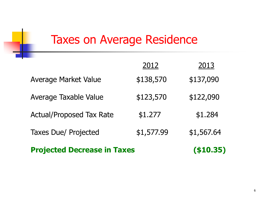# Taxes on Average Residence

| <b>Projected Decrease in Taxes</b> | ( \$10.35) |            |
|------------------------------------|------------|------------|
| <b>Taxes Due/ Projected</b>        | \$1,577.99 | \$1,567.64 |
| <b>Actual/Proposed Tax Rate</b>    | \$1.277    | \$1.284    |
| Average Taxable Value              | \$123,570  | \$122,090  |
| <b>Average Market Value</b>        | \$138,570  | \$137,090  |
|                                    | 2012       | 2013       |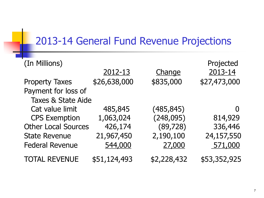### 2013-14 General Fund Revenue Projections

| (In Millions)                 | 2012-13      | Change      | Projected<br>2013-14 |
|-------------------------------|--------------|-------------|----------------------|
| <b>Property Taxes</b>         | \$26,638,000 | \$835,000   | \$27,473,000         |
| Payment for loss of           |              |             |                      |
| <b>Taxes &amp; State Aide</b> |              |             |                      |
| Cat value limit               | 485,845      | (485, 845)  |                      |
| <b>CPS Exemption</b>          | 1,063,024    | (248, 095)  | 814,929              |
| <b>Other Local Sources</b>    | 426,174      | (89, 728)   | 336,446              |
| <b>State Revenue</b>          | 21,967,450   | 2,190,100   | 24,157,550           |
| <b>Federal Revenue</b>        | 544,000      | 27,000      | 571,000              |
| <b>TOTAL REVENUE</b>          | \$51,124,493 | \$2,228,432 | \$53,352,925         |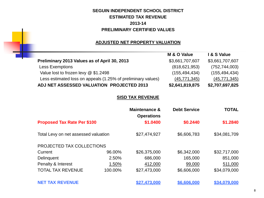### **SEGUIN INDEPENDENT SCHOOL DISTRICT ESTIMATED TAX REVENUE 2013-14 PRELIMINARY CERTIFIED VALUES**

#### **ADJUSTED NET PROPERTY VALUATION**

×

|                                                              | M & O Value     | I & S Value     |
|--------------------------------------------------------------|-----------------|-----------------|
| Preliminary 2013 Values as of April 30, 2013                 | \$3,661,707,607 | \$3,661,707,607 |
| <b>Less Exemptions</b>                                       | (818, 621, 953) | (752, 744, 003) |
| Value lost to frozen levy @ \$1.2498                         | (155, 494, 434) | (155, 494, 434) |
| Less estimated loss on appeals (1.25% of preliminary values) | (45, 771, 345)  | (45, 771, 345)  |
| ADJ NET ASSESSED VALUATION PROJECTED 2013                    | \$2,641,819,875 | \$2,707,697,825 |

#### **SISD TAX REVENUE**

|                                      |         | Maintenance &<br><b>Operations</b> | <b>Debt Service</b> | <b>TOTAL</b> |
|--------------------------------------|---------|------------------------------------|---------------------|--------------|
| <b>Proposed Tax Rate Per \$100</b>   |         | \$1.0400                           | \$0.2440            | \$1.2840     |
| Total Levy on net assessed valuation |         | \$27,474,927                       | \$6,606,783         | \$34,081,709 |
| PROJECTED TAX COLLECTIONS            |         |                                    |                     |              |
| Current                              | 96.00%  | \$26,375,000                       | \$6,342,000         | \$32,717,000 |
| Delinquent                           | 2.50%   | 686,000                            | 165,000             | 851,000      |
| Penalty & Interest                   | 1.50%   | 412,000                            | 99,000              | 511,000      |
| <b>TOTAL TAX REVENUE</b>             | 100.00% | \$27,473,000                       | \$6,606,000         | \$34,079,000 |
| <b>NET TAX REVENUE</b>               |         | \$27.473.000                       | \$6,606,000         | \$34.079.000 |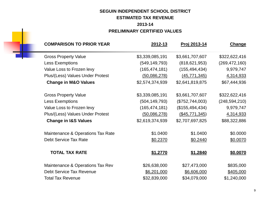### **SEGUIN INDEPENDENT SCHOOL DISTRICT ESTIMATED TAX REVENUE**

### **2013-14 PRELIMINARY CERTIFIED VALUES**

|                 |                   |                 | <b>COMPARISON TO PRIOR YEAR</b>   |
|-----------------|-------------------|-----------------|-----------------------------------|
| <b>Change</b>   | Proj 2013-14      | 2012-13         |                                   |
| \$322,622,416   | \$3,661,707,607   | \$3,339,085,191 | <b>Gross Property Value</b>       |
| (269, 472, 160) | (818, 621, 953)   | (549, 149, 793) | <b>Less Exemptions</b>            |
| 9,979,747       | (155, 494, 434)   | (165, 474, 181) | Value Loss to Frozen levy         |
| 4,314,933       | (45, 771, 345)    | (50,086,278)    | Plus/(Less) Values Under Protest  |
| \$67,444,936    | \$2,641,819,875   | \$2,574,374,939 | <b>Change in M&amp;O Values</b>   |
| \$322,622,416   | \$3,661,707,607   | \$3,339,085,191 | <b>Gross Property Value</b>       |
| (248, 594, 210) | (\$752, 744, 003) | (504, 149, 793) | <b>Less Exemptions</b>            |
| 9,979,747       | (\$155,494,434)   | (165, 474, 181) | Value Loss to Frozen levy         |
| 4,314,933       | (\$45,771,345)    | (50,086,278)    | Plus/(Less) Values Under Protest  |
| \$88,322,886    | \$2,707,697,825   | \$2,619,374,939 | <b>Change in I&amp;S Values</b>   |
| \$0.0000        | \$1.0400          | \$1.0400        | Maintenance & Operations Tax Rate |
| \$0.0070        | \$0.2440          | \$0.2370        | <b>Debt Service Tax Rate</b>      |
| \$0.0070        | \$1.2840          | \$1.2770        | <b>TOTAL TAX RATE</b>             |
| \$835,000       | \$27,473,000      | \$26,638,000    | Maintenance & Operations Tax Rev  |
| \$405,000       | \$6,606,000       | \$6,201,000     | <b>Debt Service Tax Revenue</b>   |
| \$1,240,000     | \$34,079,000      | \$32,839,000    | <b>Total Tax Revenue</b>          |
|                 |                   |                 |                                   |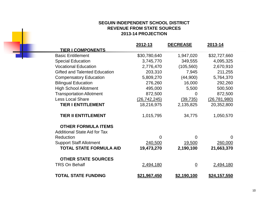#### **SEGUIN INDEPENDENT SCHOOL DISTRICT REVENUE FROM STATE SOURCES 2013-14 PROJECTION**

|                                      | 2012-13             | <b>DECREASE</b> | 2013-14             |
|--------------------------------------|---------------------|-----------------|---------------------|
| <b>TIER I COMPONENTS</b>             |                     |                 |                     |
| <b>Basic Entitlement</b>             | \$30,780,640        | 1,947,020       | \$32,727,660        |
| <b>Special Education</b>             | 3,745,770           | 349,555         | 4,095,325           |
| <b>Vocational Education</b>          | 2,776,470           | (105, 560)      | 2,670,910           |
| <b>Gifted and Talented Education</b> | 203,310             | 7,945           | 211,255             |
| <b>Compensatory Education</b>        | 5,809,270           | (44,900)        | 5,764,370           |
| <b>Bilingual Education</b>           | 276,260             | 16,000          | 292,260             |
| <b>High School Allotment</b>         | 495,000             | 5,500           | 500,500             |
| <b>Transportation Allotment</b>      | 872,500             | 0               | 872,500             |
| <b>Less Local Share</b>              | (26, 742, 245)      | (39, 735)       | (26, 781, 980)      |
| <b>TIER I ENTITLEMENT</b>            | 18,216,975          | 2,135,825       | 20,352,800          |
| <b>TIER II ENTITLEMENT</b>           | 1,015,795           | 34,775          | 1,050,570           |
|                                      |                     |                 |                     |
| <b>OTHER FORMULA ITEMS</b>           |                     |                 |                     |
| <b>Additional State Aid for Tax</b>  |                     |                 |                     |
| Reduction                            | 0                   | 0               | 0                   |
| <b>Support Staff Allotment</b>       | 240,500             | 19,500          | 260,000             |
| <b>TOTAL STATE FORMULA AID</b>       | 19,473,270          | 2,190,100       | 21,663,370          |
|                                      |                     |                 |                     |
| <b>OTHER STATE SOURCES</b>           |                     |                 |                     |
| <b>TRS On Behalf</b>                 | 2,494,180           | $\underline{0}$ | 2,494,180           |
| <b>TOTAL STATE FUNDING</b>           | <u>\$21,967,450</u> | \$2,190,100     | <u>\$24,157,550</u> |
|                                      |                     |                 |                     |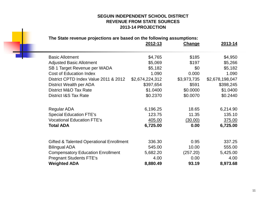#### **SEGUIN INDEPENDENT SCHOOL DISTRICT REVENUE FROM STATE SOURCES 2013-14 PROJECTION**

### **The State revenue projections are based on the following assumptions:**

۰

|                                          | 2012-13         | Change      | 2013-14         |
|------------------------------------------|-----------------|-------------|-----------------|
| <b>Basic Allotment</b>                   | \$4,765         | \$185       | \$4,950         |
| <b>Adjusted Basic Allotment</b>          | \$5,069         | \$197       | \$5,266         |
| SB 1 Target Revenue per WADA             | \$5,182         | \$0         | \$5,182         |
| <b>Cost of Education Index</b>           | 1.090           | 0.000       | 1.090           |
| District CPTD Index Value 2011 & 2012    | \$2,674,224,312 | \$3,973,735 | \$2,678,198,047 |
| District Wealth per ADA                  | \$397,654       | \$591       | \$398,245       |
| District M&O Tax Rate                    | \$1.0400        | \$0.0000    | \$1.0400        |
| <b>District I&amp;S Tax Rate</b>         | \$0.2370        | \$0.0070    | \$0.2440        |
| <b>Regular ADA</b>                       | 6,196.25        | 18.65       | 6,214.90        |
| <b>Special Education FTE's</b>           | 123.75          | 11.35       | 135.10          |
| <b>Vocational Education FTE's</b>        | 405.00          | (30.00)     | 375.00          |
| <b>Total ADA</b>                         | 6,725.00        | 0.00        | 6,725.00        |
| Gifted & Talented Operational Enrollment | 336.30          | 0.95        | 337.25          |
| <b>Bilingual ADA</b>                     | 545.00          | 10.00       | 555.00          |
| <b>Compensatory Education Enrollment</b> | 5,682.20        | (257.20)    | 5,425.00        |
| <b>Pregnant Students FTE's</b>           | 4.00            | 0.00        | 4.00            |
| <b>Weighted ADA</b>                      | 8,880.49        | 93.19       | 8,973.68        |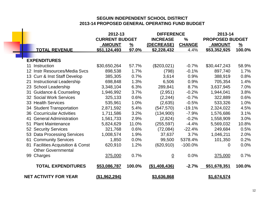#### **SEGUIN INDEPENDENT SCHOOL DISTRICT 2013-14 PROPOSED GENERAL OPERATING FUND BUDGET**

|                                       | 2012-13               |               | <b>DIFFERENCE</b> |               | 2013-14                |               |
|---------------------------------------|-----------------------|---------------|-------------------|---------------|------------------------|---------------|
|                                       | <b>CURRENT BUDGET</b> |               | <b>INCREASE</b>   | $\frac{9}{6}$ | <b>PROPOSED BUDGET</b> |               |
|                                       | <b>AMOUNT</b>         | $\frac{9}{6}$ | (DECREASE)        | <b>CHANGE</b> | <b>AMOUNT</b>          | $\frac{9}{6}$ |
| <b>TOTAL REVENUE</b>                  | \$51,124,493          | 97.0%         | \$2,228,432       | 4.4%          | \$53,352,925           | 100.0%        |
|                                       |                       |               |                   |               |                        |               |
| <b>EXPENDITURES</b>                   |                       |               |                   |               |                        |               |
| Instruction<br>11                     | \$30,650,264          | 57.7%         | (\$203,021)       | $-0.7%$       | \$30,447,243           | 58.9%         |
| 12 Instr Resources/Media Svcs         | 898,538               | 1.7%          | (798)             | $-0.1%$       | 897,740                | 1.7%          |
| 13 Curr & Inst Staff Develop          | 385,305               | 0.7%          | 3,614             | 0.9%          | 388,919                | 0.8%          |
| <b>Instructional Leadership</b><br>21 | 698,848               | 1.3%          | 6,506             | 0.9%          | 705,354                | 1.4%          |
| 23 School Leadership                  | 3,348,104             | 6.3%          | 289,841           | 8.7%          | 3,637,945              | 7.0%          |
| 31 Guidance & Counseling              | 1,946,992             | 3.7%          | (2,951)           | $-0.2%$       | 1,944,041              | 3.8%          |
| 32 Social Work Services               | 325,133               | 0.6%          | (2, 244)          | $-0.7%$       | 322,889                | 0.6%          |
| 33 Health Services                    | 535,961               | 1.0%          | (2,635)           | $-0.5%$       | 533,326                | 1.0%          |
| 34 Student Transportation             | 2,871,592             | 5.4%          | (547, 570)        | $-19.1%$      | 2,324,022              | 4.5%          |
| <b>36 Cocurricular Activities</b>     | 1,711,586             | 3.2%          | (134,900)         | $-7.9%$       | 1,576,686              | 3.1%          |
| <b>General Administration</b><br>41   | 1,561,733             | 2.9%          | (2,824)           | $-0.2%$       | 1,558,909              | 3.0%          |
| <b>Plant Maintenance</b><br>51        | 5,824,629             | 11.0%         | (255, 597)        | $-4.4%$       | 5,569,032              | 10.8%         |
| 52 Security Services                  | 321,768               | 0.6%          | (72, 084)         | $-22.4%$      | 249,684                | 0.5%          |
| 53 Data Processing Services           | 1,008,574             | 1.9%          | 37,637            | 3.7%          | 1,046,211              | 2.0%          |
| 61 Community Services                 | 1,850                 | 0.0%          | 99,500            | 5378.4%       | 101,350                | 0.2%          |
| 81 Facilities Acquisition & Const     | 620,910               | 1.2%          | (620, 910)        | $-100.0%$     | $\Omega$               | 0.0%          |
| <b>Other Governmental</b>             |                       |               |                   |               |                        |               |
| 99 Charges                            | 375,000               | 0.7%          | $\overline{0}$    | 0.0%          | 375,000                | 0.7%          |
| <b>TOTAL EXPENDITURES</b>             | \$53,086,787          | 100.0%        | (\$1,408,436)     | $-2.7%$       | \$51,678,351           | 100.0%        |
| <b>NET ACTIVITY FOR YEAR</b>          | <u>(\$1,962,294)</u>  |               | \$3,636,868       |               | \$1,674,574            |               |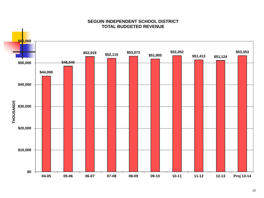

#### **SEGUIN INDEPENDENT SCHOOL DISTRICT TOTAL BUDGETED REVENUE**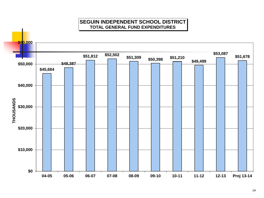### **SEGUIN INDEPENDENT SCHOOL DISTRICT TOTAL GENERAL FUND EXPENDITURES**

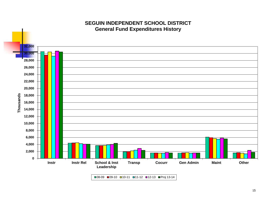

### **SEGUIN INDEPENDENT SCHOOL DISTRICT General Fund Expenditures History**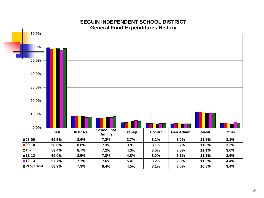

#### **SEGUIN INDEPENDENT SCHOOL DISTRICT General Fund Expenditures History**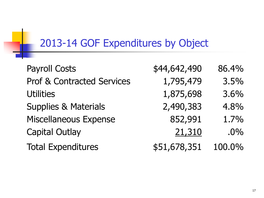## 2013-14 GOF Expenditures by Object

| <b>Payroll Costs</b>                  | \$44,642,490 | 86.4%  |
|---------------------------------------|--------------|--------|
| <b>Prof &amp; Contracted Services</b> | 1,795,479    | 3.5%   |
| <b>Utilities</b>                      | 1,875,698    | 3.6%   |
| <b>Supplies &amp; Materials</b>       | 2,490,383    | 4.8%   |
| <b>Miscellaneous Expense</b>          | 852,991      | 1.7%   |
| <b>Capital Outlay</b>                 | 21,310       | $.0\%$ |
| <b>Total Expenditures</b>             | \$51,678,351 | 100.0% |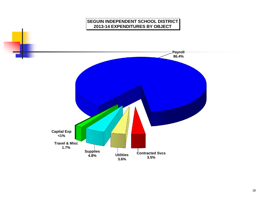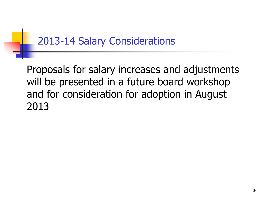## 2013-14 Salary Considerations

Proposals for salary increases and adjustments will be presented in a future board workshop and for consideration for adoption in August 2013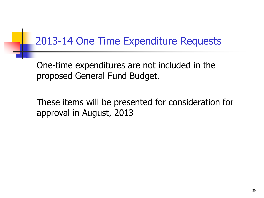## 2013-14 One Time Expenditure Requests

One-time expenditures are not included in the proposed General Fund Budget.

These items will be presented for consideration for approval in August, 2013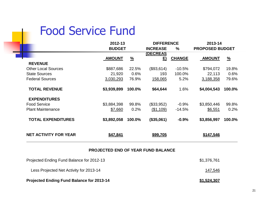## Food Service Fund

|             |               |                                           |          | 2013-14                            |               |
|-------------|---------------|-------------------------------------------|----------|------------------------------------|---------------|
|             |               | <b>INCREASE</b>                           | $\%$     | <b>PROPOSED BUDGET</b>             |               |
|             |               | (DECREAS                                  |          |                                    | $\frac{9}{6}$ |
|             |               |                                           |          |                                    |               |
| \$887,686   | 22.5%         | (\$93,614)                                | $-10.5%$ | \$794,072                          | 19.8%         |
| 21,920      | 0.6%          | 193                                       | 100.0%   | 22,113                             | 0.6%          |
| 3,030,293   | 76.9%         | 158,065                                   | 5.2%     | 3,188,358                          | 79.6%         |
| \$3,939,899 | 100.0%        | \$64,644                                  | 1.6%     | \$4,004,543                        | 100.0%        |
|             |               |                                           |          |                                    |               |
| \$3,884,398 | 99.8%         | (\$33,952)                                | $-0.9%$  | \$3,850,446                        | 99.8%         |
| \$7,660     | 0.2%          | (\$1,109)                                 | $-14.5%$ | \$6,551                            | 0.2%          |
| \$3,892,058 | 100.0%        | (\$35,061)                                | $-0.9%$  | \$3,856,997                        | 100.0%        |
| \$47,841    |               | \$99,705                                  |          | \$147,546                          |               |
|             | <b>AMOUNT</b> | 2012-13<br><b>BUDGET</b><br>$\frac{9}{6}$ | E)       | <b>DIFFERENCE</b><br><b>CHANGE</b> | <b>AMOUNT</b> |

#### **PROJECTED END OF YEAR FUND BALANCE**

| <b>Projected Ending Fund Balance for 2013-14</b> | \$1,524,307 |
|--------------------------------------------------|-------------|
| Less Projected Net Activity for 2013-14          | 147,546     |
| Projected Ending Fund Balance for 2012-13        | \$1,376,761 |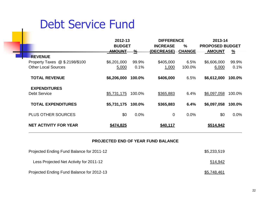# Debt Service Fund

|                                | 2012-13       |               | <b>DIFFERENCE</b>                |               | 2013-14                |               |
|--------------------------------|---------------|---------------|----------------------------------|---------------|------------------------|---------------|
|                                | <b>BUDGET</b> |               | <b>INCREASE</b><br>$\frac{0}{0}$ |               | <b>PROPOSED BUDGET</b> |               |
|                                | <b>AMOUNT</b> | $\frac{9}{6}$ | (DECREASE)                       | <b>CHANGE</b> | <b>AMOUNT</b>          | $\frac{9}{6}$ |
| <b>REVENUE</b>                 |               |               |                                  |               |                        |               |
| Property Taxes @ \$.2198/\$100 | \$6,201,000   | 99.9%         | \$405,000                        | 6.5%          | \$6,606,000            | 99.9%         |
| <b>Other Local Sources</b>     | 5,000         | 0.1%          | 1,000                            | 100.0%        | 6,000                  | 0.1%          |
|                                |               |               |                                  |               |                        |               |
| <b>TOTAL REVENUE</b>           | \$6,206,000   | 100.0%        | \$406,000                        | 6.5%          | \$6,612,000            | 100.0%        |
|                                |               |               |                                  |               |                        |               |
| <b>EXPENDITURES</b>            |               |               |                                  |               |                        |               |
| <b>Debt Service</b>            | \$5,731,175   | 100.0%        | \$365,883                        | 6.4%          | \$6,097,058            | 100.0%        |
|                                |               |               |                                  |               |                        |               |
| <b>TOTAL EXPENDITURES</b>      | \$5,731,175   | 100.0%        | \$365,883                        | 6.4%          | \$6,097,058            | 100.0%        |
|                                |               |               |                                  |               |                        |               |
| <b>PLUS OTHER SOURCES</b>      | \$0           | 0.0%          | $\overline{0}$                   | 0.0%          | \$0                    | 0.0%          |
|                                |               |               |                                  |               |                        |               |
| <b>NET ACTIVITY FOR YEAR</b>   | \$474,825     |               | \$40,117                         |               | \$514,942              |               |

#### **PROJECTED END OF YEAR FUND BALANCE**

| Projected Ending Fund Balance for 2011-12 | \$5,233,519        |
|-------------------------------------------|--------------------|
| Less Projected Net Activity for 2011-12   | 514,942            |
| Projected Ending Fund Balance for 2012-13 | <u>\$5,748,461</u> |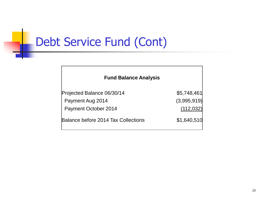# Debt Service Fund (Cont)

a a s

| <b>Fund Balance Analysis</b>               |             |
|--------------------------------------------|-------------|
| Projected Balance 06/30/14                 | \$5,748,461 |
| Payment Aug 2014                           | (3,995,919) |
| Payment October 2014                       | (112, 032)  |
| <b>Balance before 2014 Tax Collections</b> | \$1,640,510 |